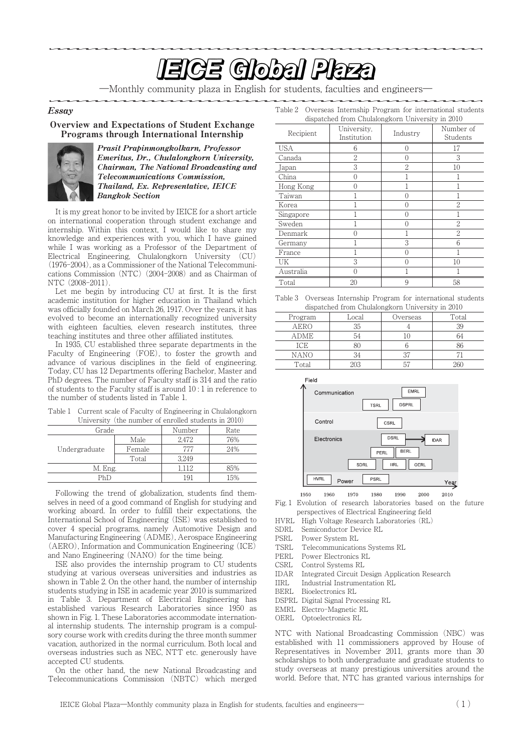# <u>In the second contract of the second second second second second second second second second second second second second second second second second second second second second second second second second second second se</u>

―Monthly community plaza in English for students, faculties and engineers―

#### Essay

#### Overview and Expectations of Student Exchange Programs through International Internship



Prasit Prapinmongkolkarn, Professor Emeritus, Dr., Chulalongkorn University, Chairman, The National Broadcasting and Telecommunications Commission, Thailand, Ex. Representative, IEICE Bangkok Section

It is my great honor to be invited by IEICE for a short article on international cooperation through student exchange and internship. Within this context, I would like to share my knowledge and experiences with you, which I have gained while I was working as a Professor of the Department of Electrical Engineering, Chulalongkorn University (CU) (1976-2004), as a Commissioner of the National Telecommunications Commission (NTC) (2004-2008) and as Chairman of NTC (2008-2011).

Let me begin by introducing CU at first. It is the first academic institution for higher education in Thailand which was officially founded on March 26, 1917. Over the years, it has evolved to become an internationally recognized university with eighteen faculties, eleven research institutes, three teaching institutes and three other affiliated institutes.

In 1935, CU established three separate departments in the Faculty of Engineering (FOE), to foster the growth and advance of various disciplines in the field of engineering. Today, CU has 12 Departments offering Bachelor, Master and PhD degrees. The number of Faculty staff is 314 and the ratio of students to the Faculty staff is around 10 : 1 in reference to the number of students listed in Table 1.

Table 1 Current scale of Faculty of Engineering in Chulalongkorn University (the number of enrolled students in  $2010$ )

| Grade         |        | Number | Rate |
|---------------|--------|--------|------|
| Undergraduate | Male   | 2.472  | 76%  |
|               | Female | 777    | 24%  |
|               | Total  | 3.249  |      |
| M. Eng.       |        | 1.112  | 85%  |
| PhD           |        | 191    | 15%  |

Following the trend of globalization, students find themselves in need of a good command of English for studying and working aboard. In order to fulfill their expectations, the International School of Engineering (ISE) was established to cover 4 special programs, namely Automotive Design and Manufacturing Engineering (ADME), Aerospace Engineering (AERO), Information and Communication Engineering (ICE) and Nano Engineering (NANO) for the time being.

ISE also provides the internship program to CU students studying at various overseas universities and industries as shown in Table 2. On the other hand, the number of internship students studying in ISE in academic year 2010 is summarized in Table 3. Department of Electrical Engineering has established various Research Laboratories since 1950 as shown in Fig. 1. These Laboratories accommodate international internship students. The internship program is a compulsory course work with credits during the three month summer vacation, authorized in the normal curriculum. Both local and overseas industries such as NEC, NTT etc. generously have accepted CU students.

On the other hand, the new National Broadcasting and Telecommunications Commission (NBTC) which merged

| dispatched from Chulalongkorn University in 2010 |                            |                     |                       |
|--------------------------------------------------|----------------------------|---------------------|-----------------------|
| Recipient                                        | University.<br>Institution | Industry            | Number of<br>Students |
| <b>USA</b>                                       | 6                          | 0                   | 17                    |
| Canada                                           | $\overline{2}$             | 0                   | 3                     |
| Japan                                            | 3                          | 2                   | 10                    |
| China                                            |                            |                     |                       |
| Hong Kong                                        |                            |                     |                       |
| Taiwan                                           |                            | ( )                 |                       |
| Korea                                            |                            | 0                   | 2                     |
| Singapore                                        |                            | 0                   |                       |
| Sweden                                           |                            | 0                   | 2                     |
| Denmark                                          |                            |                     | 2                     |
| Germany                                          |                            | 3                   | 6                     |
| France                                           |                            | ∩                   |                       |
| UK                                               | 3                          | $\scriptstyle\rm ($ | 10                    |
| Australia                                        |                            |                     |                       |
| Total                                            | 20                         | 9                   | 58                    |

Table 2 Overseas Internship Program for international students

Table 3 Overseas Internship Program for international students dispatched from Chulalongkorn University in 2010

| apparence trom enamolignorm chiverony in 2010 |       |          |       |  |
|-----------------------------------------------|-------|----------|-------|--|
| Program                                       | Local | Overseas | Total |  |
| <b>AERO</b>                                   | 35    |          | 39    |  |
| ADME                                          | 54    |          | 64    |  |
| ICE                                           |       |          |       |  |
| <b>NANO</b>                                   | 34    |          |       |  |
| Total                                         |       |          |       |  |



1950 1960 1970 1980 1990 2000 2010 Fig. 1 Evolution of research laboratories based on the future

perspectives of Electrical Engineering field HVRL High Voltage Research Laboratories (RL)

- SDRL Semiconductor Device RL
- PSRL Power System RL

TSRL Telecommunications Systems RL

- PERL Power Electronics RL
- CSRL Control Systems RL
- IDAR Integrated Circuit Design Application Research
- IIRL Industrial Instrumentation RL
- Bioelectronics RL
- DSPRL Digital Signal Processing RL
- EMRL Electro-Magnetic RL
- OERL Optoelectronics RL

NTC with National Broadcasting Commission (NBC) was established with 11 commissioners approved by House of Representatives in November 2011, grants more than 30 scholarships to both undergraduate and graduate students to study overseas at many prestigious universities around the world. Before that, NTC has granted various internships for